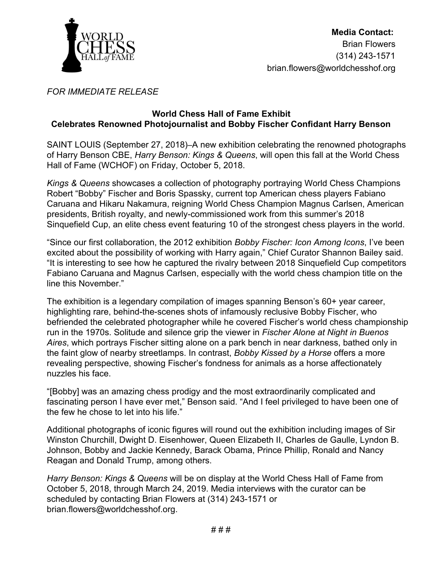

## *FOR IMMEDIATE RELEASE*

## **World Chess Hall of Fame Exhibit Celebrates Renowned Photojournalist and Bobby Fischer Confidant Harry Benson**

SAINT LOUIS (September 27, 2018)[–](http://wchof.org/)A new exhibition celebrating the renowned photographs of Harry Benson CBE, *Harry Benson: Kings & Queens*, will open this fall at the World Chess Hall of Fame (WCHOF) on Friday, October 5, 2018.

*Kings & Queens* showcases a collection of photography portraying World Chess Champions Robert "Bobby" Fischer and Boris Spassky, current top American chess players Fabiano Caruana and Hikaru Nakamura, reigning World Chess Champion Magnus Carlsen, American presidents, British royalty, and newly-commissioned work from this summer's 2018 Sinquefield Cup, an elite chess event featuring 10 of the strongest chess players in the world.

"Since our first collaboration, the 2012 exhibition *Bobby Fischer: Icon Among Icons*, I've been excited about the possibility of working with Harry again," Chief Curator Shannon Bailey said. "It is interesting to see how he captured the rivalry between 2018 Sinquefield Cup competitors Fabiano Caruana and Magnus Carlsen, especially with the world chess champion title on the line this November."

The exhibition is a legendary compilation of images spanning Benson's 60+ year career, highlighting rare, behind-the-scenes shots of infamously reclusive Bobby Fischer, who befriended the celebrated photographer while he covered Fischer's world chess championship run in the 1970s. Solitude and silence grip the viewer in *Fischer Alone at Night in Buenos Aires*, which portrays Fischer sitting alone on a park bench in near darkness, bathed only in the faint glow of nearby streetlamps. In contrast, *Bobby Kissed by a Horse* offers a more revealing perspective, showing Fischer's fondness for animals as a horse affectionately nuzzles his face.

"[Bobby] was an amazing chess prodigy and the most extraordinarily complicated and fascinating person I have ever met," Benson said. "And I feel privileged to have been one of the few he chose to let into his life."

Additional photographs of iconic figures will round out the exhibition including images of Sir Winston Churchill, Dwight D. Eisenhower, Queen Elizabeth II, Charles de Gaulle, Lyndon B. Johnson, Bobby and Jackie Kennedy, Barack Obama, Prince Phillip, Ronald and Nancy Reagan and Donald Trump, among others.

*Harry Benson: Kings & Queens* will be on display at the World Chess Hall of Fame from October 5, 2018, through March 24, 2019. Media interviews with the curator can be scheduled by contacting Brian Flowers at (314) 243-1571 or brian.flowers@worldchesshof.org.